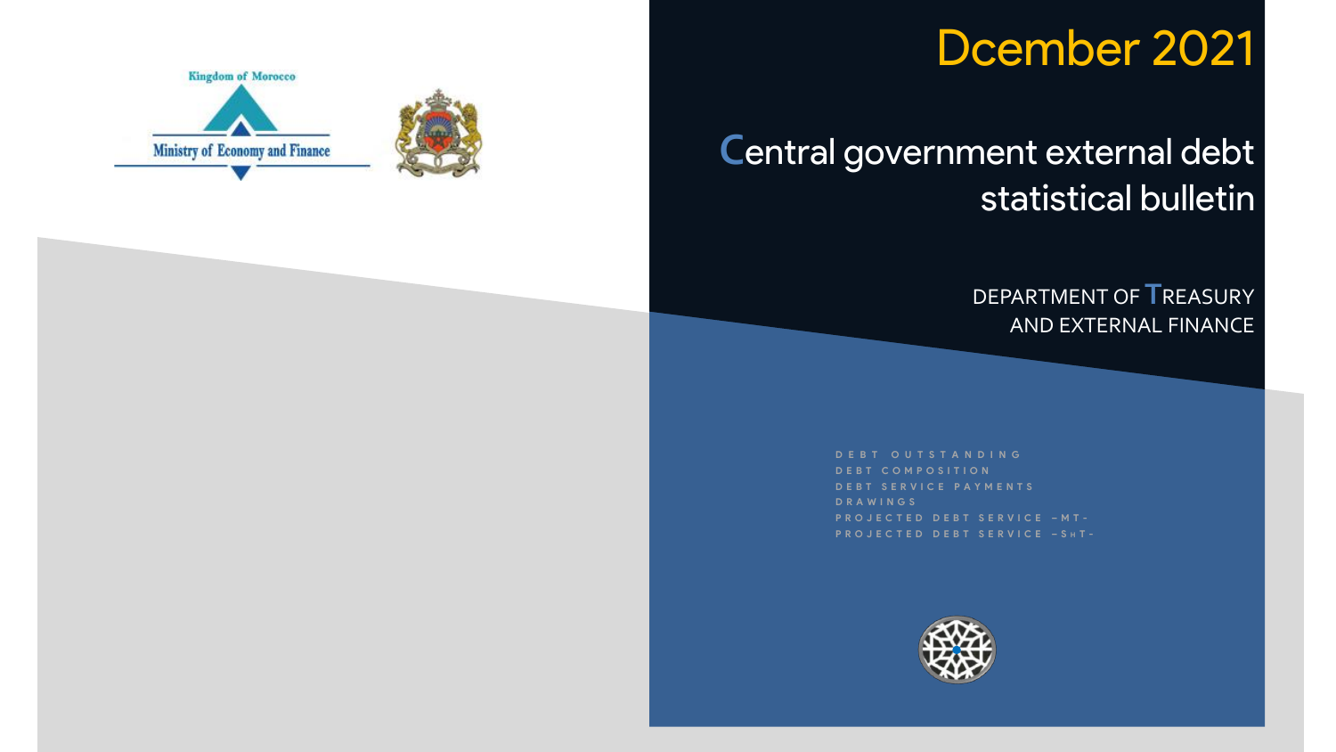# Dcember 2021

## Central government external debt statistical bulletin

DEPARTMENT OF **T**REASURY AND EXTERNAL FINANCE

**D E B T O U T S T A N D I N G D E B T C O M P O S I T I O N D E B T S E R V I C E P A Y M E N T S D R A W I N G S P R O J E C T E D D E B T S E R V I C E – M T -**



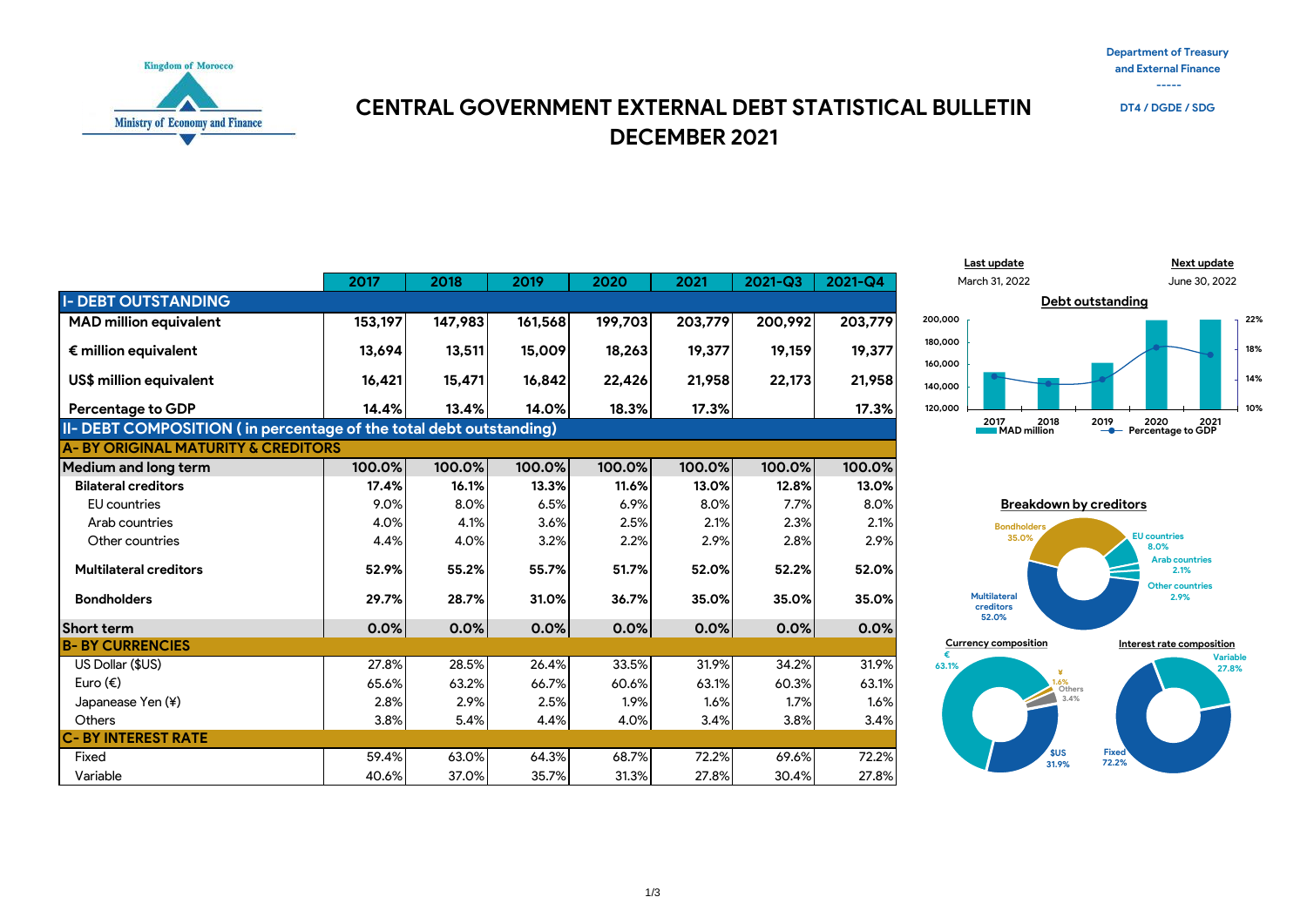**Department of Treasury and External Finance -----**



#### **DECEMBER 2021 CENTRAL GOVERNMENT EXTERNAL DEBT STATISTICAL BULLETIN**





|                                                                    | 2017    | 2018    | 2019    | 2020    | 2021    | $2021 - Q3$ | 2021-Q4 |  |  |
|--------------------------------------------------------------------|---------|---------|---------|---------|---------|-------------|---------|--|--|
| <b>I- DEBT OUTSTANDING</b>                                         |         |         |         |         |         |             |         |  |  |
| <b>MAD million equivalent</b>                                      | 153,197 | 147,983 | 161,568 | 199,703 | 203,779 | 200,992     | 203,779 |  |  |
| $\epsilon$ million equivalent                                      | 13,694  | 13,511  | 15,009  | 18,263  | 19,377  | 19,159      | 19,377  |  |  |
| US\$ million equivalent                                            | 16,421  | 15,471  | 16,842  | 22,426  | 21,958  | 22,173      | 21,958  |  |  |
| <b>Percentage to GDP</b>                                           | 14.4%   | 13.4%   | 14.0%   | 18.3%   | 17.3%   |             | 17.3%   |  |  |
| II- DEBT COMPOSITION (in percentage of the total debt outstanding) |         |         |         |         |         |             |         |  |  |
| <b>A-BY ORIGINAL MATURITY &amp; CREDITORS</b>                      |         |         |         |         |         |             |         |  |  |
| <b>Medium and long term</b>                                        | 100.0%  | 100.0%  | 100.0%  | 100.0%  | 100.0%  | 100.0%      | 100.0%  |  |  |
| <b>Bilateral creditors</b>                                         | 17.4%   | 16.1%   | 13.3%   | 11.6%   | 13.0%   | 12.8%       | 13.0%   |  |  |
| <b>EU</b> countries                                                | 9.0%    | 8.0%    | 6.5%    | 6.9%    | 8.0%    | 7.7%        | 8.0%    |  |  |
| Arab countries                                                     | 4.0%    | 4.1%    | 3.6%    | 2.5%    | 2.1%    | 2.3%        | 2.1%    |  |  |
| Other countries                                                    | 4.4%    | 4.0%    | 3.2%    | 2.2%    | 2.9%    | 2.8%        | 2.9%    |  |  |
| <b>Multilateral creditors</b>                                      | 52.9%   | 55.2%   | 55.7%   | 51.7%   | 52.0%   | 52.2%       | 52.0%   |  |  |
| <b>Bondholders</b>                                                 | 29.7%   | 28.7%   | 31.0%   | 36.7%   | 35.0%   | 35.0%       | 35.0%   |  |  |
| Short term                                                         | 0.0%    | 0.0%    | 0.0%    | 0.0%    | 0.0%    | 0.0%        | 0.0%    |  |  |
| <b>B-BY CURRENCIES</b>                                             |         |         |         |         |         |             |         |  |  |
| US Dollar (\$US)                                                   | 27.8%   | 28.5%   | 26.4%   | 33.5%   | 31.9%   | 34.2%       | 31.9%   |  |  |
| Euro $(\epsilon)$                                                  | 65.6%   | 63.2%   | 66.7%   | 60.6%   | 63.1%   | 60.3%       | 63.1%   |  |  |
| Japanease Yen (¥)                                                  | 2.8%    | 2.9%    | 2.5%    | 1.9%    | 1.6%    | 1.7%        | 1.6%    |  |  |
| Others                                                             | 3.8%    | 5.4%    | 4.4%    | 4.0%    | 3.4%    | 3.8%        | 3.4%    |  |  |
| <b>C-BY INTEREST RATE</b>                                          |         |         |         |         |         |             |         |  |  |

Fixed 59.4% 63.0% 64.3% 68.7% 72.2% 69.6% 72.2% Variable 40.6% 37.0% 35.7% 31.3% 27.8% 30.4% 27.8%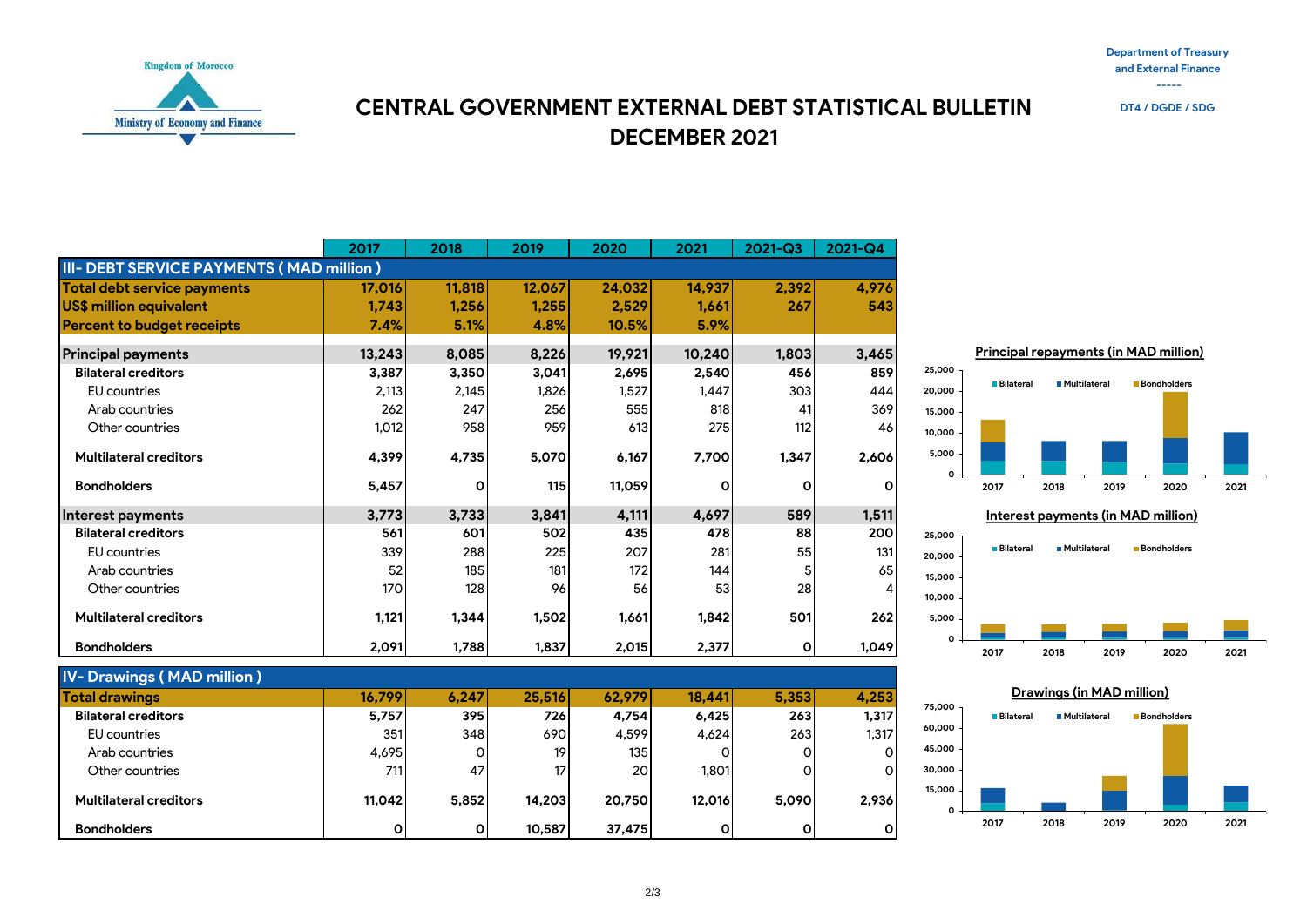**Department of Treasury and External Finance**





**DECEMBER 2021 CENTRAL GOVERNMENT EXTERNAL DEBT STATISTICAL BULLETIN** 

|                                          | 2017   | 2018   | 2019   | 2020   | 2021   | $2021 - Q3$ | 2021-Q4      |
|------------------------------------------|--------|--------|--------|--------|--------|-------------|--------------|
| III- DEBT SERVICE PAYMENTS (MAD million) |        |        |        |        |        |             |              |
| <b>Total debt service payments</b>       | 17,016 | 11,818 | 12,067 | 24,032 | 14,937 | 2,392       | 4,976        |
| US\$ million equivalent                  | 1,743  | 1,256  | 1,255  | 2,529  | 1,661  | 267         | 543          |
| <b>Percent to budget receipts</b>        | 7.4%   | 5.1%   | 4.8%   | 10.5%  | 5.9%   |             |              |
| <b>Principal payments</b>                | 13,243 | 8,085  | 8,226  | 19,921 | 10,240 | 1,803       | 3,465        |
| <b>Bilateral creditors</b>               | 3,387  | 3,350  | 3,041  | 2,695  | 2,540  | 456         | 859          |
| <b>EU</b> countries                      | 2,113  | 2,145  | 1,826  | 1,527  | 1,447  | 303         | 444          |
| Arab countries                           | 262    | 247    | 256    | 555    | 818    | 41          | 369          |
| Other countries                          | 1,012  | 958    | 959    | 613    | 275    | 112         | 46           |
| <b>Multilateral creditors</b>            | 4,399  | 4,735  | 5,070  | 6,167  | 7,700  | 1,347       | 2,606        |
| <b>Bondholders</b>                       | 5,457  | O      | 115    | 11,059 | O      | O           | $\mathbf{o}$ |
| Interest payments                        | 3,773  | 3,733  | 3,841  | 4,111  | 4,697  | 589         | 1,511        |
| <b>Bilateral creditors</b>               | 561    | 601    | 502    | 435    | 478    | 88          | 200          |
| <b>EU</b> countries                      | 339    | 288    | 225    | 207    | 281    | 55          | 131          |
| Arab countries                           | 52     | 185    | 181    | 172    | 144    |             | 65           |
| Other countries                          | 170    | 128    | 96     | 56     | 53     | 28          | 4            |
| <b>Multilateral creditors</b>            | 1,121  | 1,344  | 1,502  | 1,661  | 1,842  | 501         | 262          |
| <b>Bondholders</b>                       | 2,091  | 1,788  | 1,837  | 2,015  | 2,377  | 0           | 1.049        |

| <b>IV-Drawings (MAD million)</b> |        |       |                 |           |              |       |       |
|----------------------------------|--------|-------|-----------------|-----------|--------------|-------|-------|
| <b>Total drawings</b>            | 16.799 | 6.247 | 25.516          | 62,979    | 18.441       | 5.353 | 4,253 |
| <b>Bilateral creditors</b>       | 5,757  | 395   | 726             | 4.754     | 6,425        | 263   | 1,317 |
| EU countries                     | 351    | 348   | 690             | 4.599     | 4.624        | 263   | 1.317 |
| Arab countries                   | 4.695  | 0     | 19              | 135       |              | Ο     | 0     |
| Other countries                  | 711    | 47    | 17 <sub>1</sub> | <b>20</b> | 1.801        | 0     | O     |
| <b>Multilateral creditors</b>    | 11.042 | 5.852 | 14.203          | 20.750    | 12.016       | 5.090 | 2,936 |
| <b>Bondholders</b>               | O      | O     | 10.587          | 37,475    | $\mathsf{o}$ |       |       |



**Principal repayments (in MAD million)**

**2017 2018 2019 2020 2021**



**0 5,000 10,000 15,000 20,000 25,000**